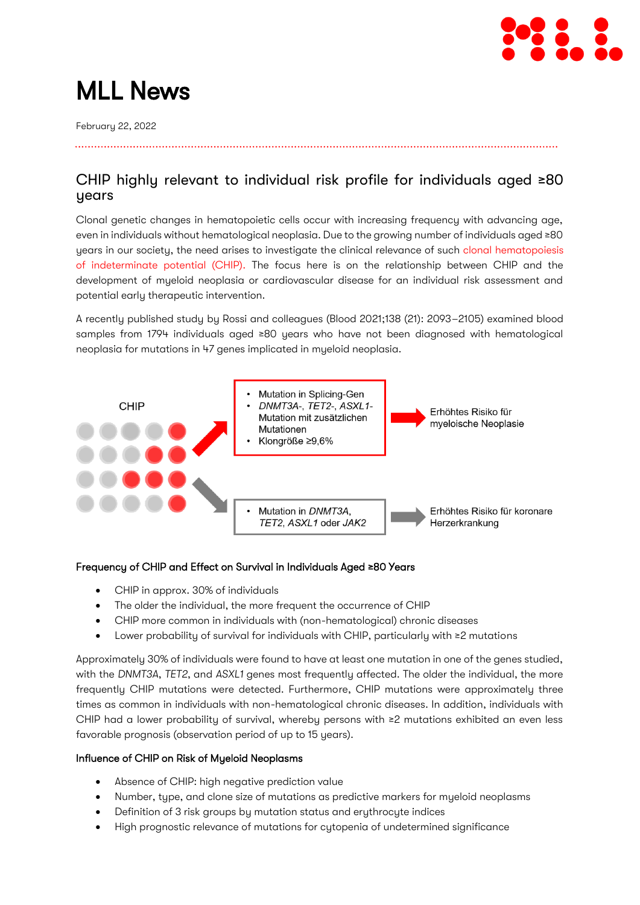

# MLL News

February 22, 2022

### CHIP highly relevant to individual risk profile for individuals aged ≥80 years

Clonal genetic changes in hematopoietic cells occur with increasing frequency with advancing age, even in individuals without hematological neoplasia. Due to the growing number of individuals aged ≥80 years in our society, the need arises to investigate the clinical relevance of such [clonal hematopoiesis](https://www.mll.com/en/diagnostic-offer/others/clonal-hematopoiesis-of-indeterminate-potential-chip-in-hematology.html)  [of indeterminate potential \(CHIP\).](https://www.mll.com/en/diagnostic-offer/others/clonal-hematopoiesis-of-indeterminate-potential-chip-in-hematology.html) The focus here is on the relationship between CHIP and the development of myeloid neoplasia or cardiovascular disease for an individual risk assessment and potential early therapeutic intervention.

A recently published study by Rossi and colleagues (Blood 2021;138 (21): 2093–2105) examined blood samples from 1794 individuals aged ≥80 years who have not been diagnosed with hematological neoplasia for mutations in 47 genes implicated in myeloid neoplasia.



### Frequency of CHIP and Effect on Survival in Individuals Aged ≥80 Years

- CHIP in approx. 30% of individuals
- The older the individual, the more frequent the occurrence of CHIP
- CHIP more common in individuals with (non-hematological) chronic diseases
- Lower probability of survival for individuals with CHIP, particularly with ≥2 mutations

Approximately 30% of individuals were found to have at least one mutation in one of the genes studied, with the *DNMT3A*, *TET2*, and *ASXL1* genes most frequently affected. The older the individual, the more frequently CHIP mutations were detected. Furthermore, CHIP mutations were approximately three times as common in individuals with non-hematological chronic diseases. In addition, individuals with CHIP had a lower probability of survival, whereby persons with ≥2 mutations exhibited an even less favorable prognosis (observation period of up to 15 years).

#### Influence of CHIP on Risk of Myeloid Neoplasms

- Absence of CHIP: high negative prediction value
- Number, type, and clone size of mutations as predictive markers for myeloid neoplasms
- Definition of 3 risk groups by mutation status and erythrocyte indices
- High prognostic relevance of mutations for cytopenia of undetermined significance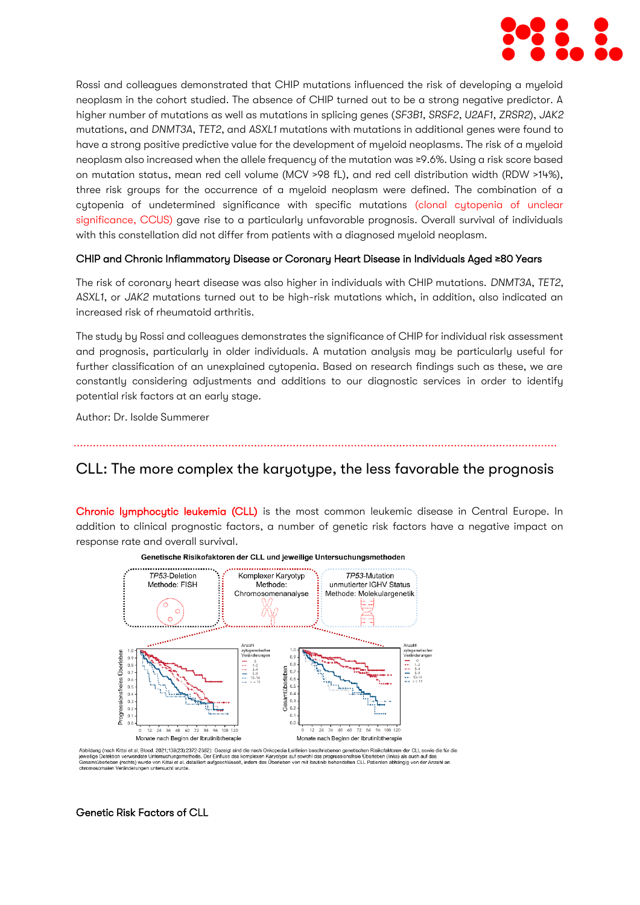

Rossi and colleagues demonstrated that CHIP mutations influenced the risk of developing a myeloid neoplasm in the cohort studied. The absence of CHIP turned out to be a strong negative predictor. A higher number of mutations as well as mutations in splicing genes (*SF3B1, SRSF2, U2AF1, ZRSR2*), *JAK2* mutations, and *DNMT3A*, *TET2*, and *ASXL1* mutations with mutations in additional genes were found to have a strong positive predictive value for the development of myeloid neoplasms. The risk of a myeloid neoplasm also increased when the allele frequency of the mutation was ≥9.6%. Using a risk score based on mutation status, mean red cell volume (MCV >98 fL), and red cell distribution width (RDW >14%), three risk groups for the occurrence of a myeloid neoplasm were defined. The combination of a cytopenia of undetermined significance with specific mutations (clonal cytopenia of unclear [significance, CCUS\)](https://www.mll.com/en/diagnostic-offer/others/clonal-cytopenia-of-undetermined-significance-ccus.html) gave rise to a particularly unfavorable prognosis. Overall survival of individuals with this constellation did not differ from patients with a diagnosed myeloid neoplasm.

#### CHIP and Chronic Inflammatory Disease or Coronary Heart Disease in Individuals Aged ≥80 Years

The risk of coronary heart disease was also higher in individuals with CHIP mutations. *DNMT3A*, *TET2*, *ASXL1*, or *JAK2* mutations turned out to be high-risk mutations which, in addition, also indicated an increased risk of rheumatoid arthritis.

The study by Rossi and colleagues demonstrates the significance of CHIP for individual risk assessment and prognosis, particularly in older individuals. A mutation analysis may be particularly useful for further classification of an unexplained cytopenia. Based on research findings such as these, we are constantly considering adjustments and additions to our diagnostic services in order to identify potential risk factors at an early stage.

Author: Dr. Isolde Summerer

### CLL: The more complex the karyotype, the less favorable the prognosis

[Chronic lymphocytic leukemia \(CLL\)](https://www.mll.com/en/diagnostic-offer/chronic-lymphocytic-leukemia-cll/chronic-lymphocytic-leukemia-cll.html) is the most common leukemic disease in Central Europe. In addition to clinical prognostic factors, a number of genetic risk factors have a negative impact on response rate and overall survival.



#### Genetische Risikofaktoren der CLL und jeweilige Untersuchungsmethoden

Genetic Risk Factors of CLL

Abbildung (nach Kittai et al, Blood. 2021;138(23):2372-2382): Gezeigt sind die nach Onkopedia Leitlinien beschriebenen genetischen Risikofaktoren der CLL sowie die für die<br>jeweilige Detektion verwendele Untersuchungsmethod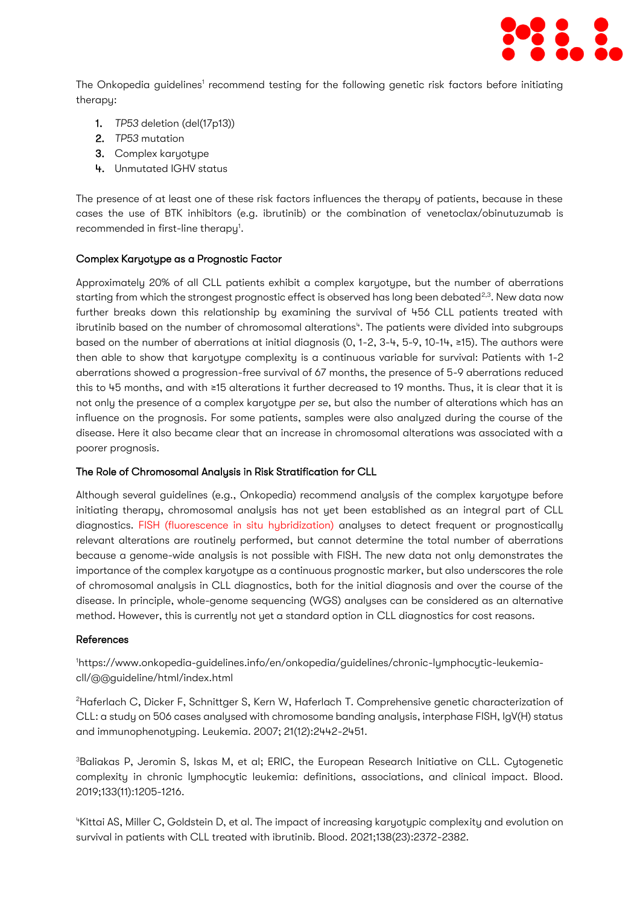

The Onkopedia guidelines' recommend testing for the following genetic risk factors before initiating therapy:

- 1. *TP53* deletion (del(17p13))
- 2. *TP53* mutation
- 3. Complex karyotype
- 4. Unmutated IGHV status

The presence of at least one of these risk factors influences the therapy of patients, because in these cases the use of BTK inhibitors (e.g. ibrutinib) or the combination of venetoclax/obinutuzumab is recommended in first-line therapy<sup>1</sup>.

#### Complex Karyotype as a Prognostic Factor

Approximately 20% of all CLL patients exhibit a complex karyotype, but the number of aberrations starting from which the strongest prognostic effect is observed has long been debated<sup>2,3</sup>. New data now further breaks down this relationship by examining the survival of 456 CLL patients treated with ibrutinib based on the number of chromosomal alterations<sup>4</sup>. The patients were divided into subgroups based on the number of aberrations at initial diagnosis (0, 1-2, 3-4, 5-9, 10-14, ≥15). The authors were then able to show that karyotype complexity is a continuous variable for survival: Patients with 1-2 aberrations showed a progression-free survival of 67 months, the presence of 5-9 aberrations reduced this to 45 months, and with ≥15 alterations it further decreased to 19 months. Thus, it is clear that it is not only the presence of a complex karyotype *per se*, but also the number of alterations which has an influence on the prognosis. For some patients, samples were also analyzed during the course of the disease. Here it also became clear that an increase in chromosomal alterations was associated with a poorer prognosis.

#### The Role of Chromosomal Analysis in Risk Stratification for CLL

Although several guidelines (e.g., Onkopedia) recommend analysis of the complex karyotype before initiating therapy, chromosomal analysis has not yet been established as an integral part of CLL diagnostics. [FISH \(fluorescence in situ hybridization\)](https://www.mll.com/en/methods/fluorescence-in-situ-hybridization-fish.html) analyses to detect frequent or prognostically relevant alterations are routinely performed, but cannot determine the total number of aberrations because a genome-wide analysis is not possible with FISH. The new data not only demonstrates the importance of the complex karyotype as a continuous prognostic marker, but also underscores the role of chromosomal analysis in CLL diagnostics, both for the initial diagnosis and over the course of the disease. In principle, whole-genome sequencing (WGS) analyses can be considered as an alternative method. However, this is currently not yet a standard option in CLL diagnostics for cost reasons.

#### References

1https://www.onkopedia-guidelines.info/en/onkopedia/guidelines/chronic-lymphocytic-leukemiacll/@@guideline/html/index.html

<sup>2</sup>Haferlach C, Dicker F, Schnittger S, Kern W, Haferlach T. Comprehensive genetic characterization of CLL: a study on 506 cases analysed with chromosome banding analysis, interphase FISH, IgV(H) status and immunophenotyping. Leukemia. 2007; 21(12):2442-2451.

<sup>3</sup>Baliakas P, Jeromin S, Iskas M, et al; ERIC, the European Research Initiative on CLL. Cytogenetic complexity in chronic lymphocytic leukemia: definitions, associations, and clinical impact. Blood. 2019;133(11):1205-1216.

<sup>4</sup>Kittai AS, Miller C, Goldstein D, et al. The impact of increasing karyotypic complexity and evolution on survival in patients with CLL treated with ibrutinib. Blood. 2021;138(23):2372-2382.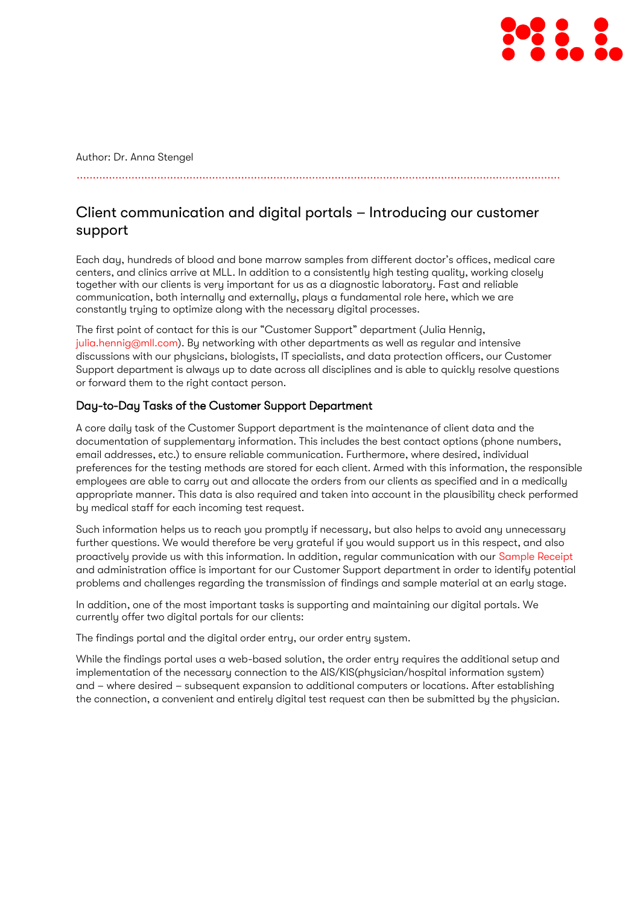

Author: Dr. Anna Stengel

## Client communication and digital portals – Introducing our customer support

Each day, hundreds of blood and bone marrow samples from different doctor's offices, medical care centers, and clinics arrive at MLL. In addition to a consistently high testing quality, working closely together with our clients is very important for us as a diagnostic laboratory. Fast and reliable communication, both internally and externally, plays a fundamental role here, which we are constantly trying to optimize along with the necessary digital processes.

The first point of contact for this is our "Customer Support" department (Julia Hennig, [julia.hennig@mll.com\)](julia.hennig@mll.com). By networking with other departments as well as regular and intensive discussions with our physicians, biologists, IT specialists, and data protection officers, our Customer Support department is always up to date across all disciplines and is able to quickly resolve questions or forward them to the right contact person.

### Day-to-Day Tasks of the Customer Support Department

A core daily task of the Customer Support department is the maintenance of client data and the documentation of supplementary information. This includes the best contact options (phone numbers, email addresses, etc.) to ensure reliable communication. Furthermore, where desired, individual preferences for the testing methods are stored for each client. Armed with this information, the responsible employees are able to carry out and allocate the orders from our clients as specified and in a medically appropriate manner. This data is also required and taken into account in the plausibility check performed by medical staff for each incoming test request.

Such information helps us to reach you promptly if necessary, but also helps to avoid any unnecessary further questions. We would therefore be very grateful if you would support us in this respect, and also proactively provide us with this information. In addition, regular communication with our [Sample Receipt](https://www.mll.com/en/news/magazine/mll-news/good-findings-start-with-preanalytics-our-sample-receipt-introduces-itself.html) and administration office is important for our Customer Support department in order to identify potential problems and challenges regarding the transmission of findings and sample material at an early stage.

In addition, one of the most important tasks is supporting and maintaining our digital portals. We currently offer two digital portals for our clients:

The findings portal and the digital order entry, our order entry system.

While the findings portal uses a web-based solution, the order entry requires the additional setup and implementation of the necessary connection to the AIS/KIS(physician/hospital information system) and – where desired – subsequent expansion to additional computers or locations. After establishing the connection, a convenient and entirely digital test request can then be submitted by the physician.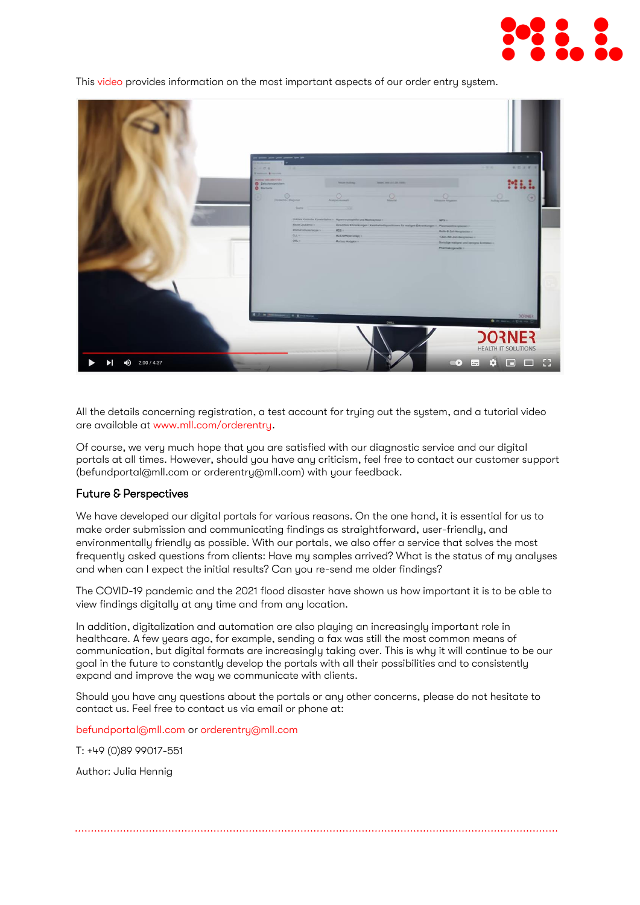

This [video](https://www.youtube.com/watch?v=wE9YxNZ7fGU) provides information on the most important aspects of our order entru sustem.



All the details concerning registration, a test account for trying out the system, and a tutorial video are available a[t www.mll.com/orderentry.](file:///C:/Users/jhennig/AppData/Local/Temp/$$dv$$/www.mll.com/orderentry)

Of course, we very much hope that you are satisfied with our diagnostic service and our digital portals at all times. However, should you have any criticism, feel free to contact our customer support [\(befundportal@mll.com](mailto:befundportal@mll.com) or [orderentry@mll.com\)](mailto:orderentry@mll.com) with your feedback.

#### Future & Perspectives

We have developed our digital portals for various reasons. On the one hand, it is essential for us to make order submission and communicating findings as straightforward, user-friendly, and environmentally friendly as possible. With our portals, we also offer a service that solves the most frequently asked questions from clients: Have my samples arrived? What is the status of my analyses and when can I expect the initial results? Can you re-send me older findings?

The COVID-19 pandemic and the 2021 flood disaster have shown us how important it is to be able to view findings digitally at any time and from any location.

In addition, digitalization and automation are also playing an increasingly important role in healthcare. A few years ago, for example, sending a fax was still the most common means of communication, but digital formats are increasingly taking over. This is why it will continue to be our goal in the future to constantly develop the portals with all their possibilities and to consistently expand and improve the way we communicate with clients.

Should you have any questions about the portals or any other concerns, please do not hesitate to contact us. Feel free to contact us via email or phone at:

[befundportal@mll.com](mailto:befundportal@mll.com) or [orderentry@mll.com](mailto:orderentry@mll.com) 

T: +49 (0)89 99017-551

Author: Julia Hennig